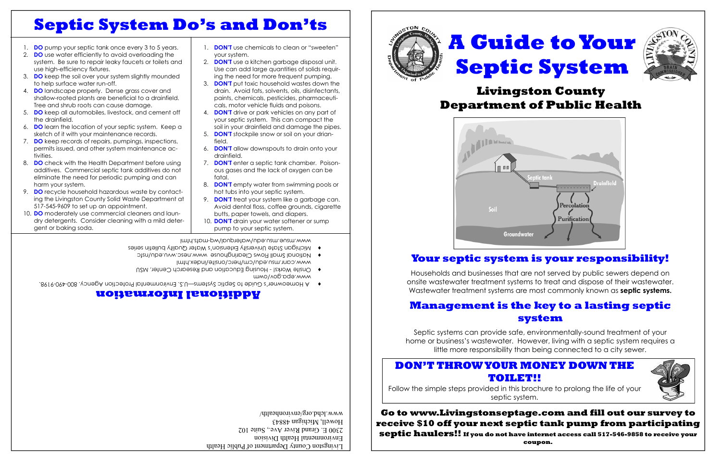### **Go to www.Livingstonseptage.com and fill out our survey to receive \$10 off your next septic tank pump from participating septic haulers!! If you do not have internet access call 517-546-9858 to receive your coupon.**

# **A Guide to Your Septic System**



# **Livingston County Department of Public Health**



### **Your septic system is your responsibility!**

Households and businesses that are not served by public sewers depend on onsite wastewater treatment systems to treat and dispose of their wastewater. Wastewater treatment systems are most commonly known as **septic systems.** 

### **Management is the key to a lasting septic system**

Septic systems can provide safe, environmentally-sound treatment of your home or business's wastewater. However, living with a septic system requires a little more responsibility than being connected to a city sewer.

# **Septic System Do's and Don'ts**

- 1. **DO** pump your septic tank once every 3 to 5 years.
- 2. **DO** use water efficiently to avoid overloading the system. Be sure to repair leaky faucets or toilets and use high-efficiency fixtures.
- 3. **DO** keep the soil over your system slightly mounded to help surface water run-off.
- 4. **DO** landscape properly. Dense grass cover and shallow-rooted plants are beneficial to a drainfield. Tree and shrub roots can cause damage.
- 5. **DO** keep all automobiles, livestock, and cement off the drainfield.
- 6. **DO** learn the location of your septic system. Keep a sketch of it with your maintenance records.
- 7. **DO** keep records of repairs, pumpings, inspections, permits issued, and other system maintenance activities.
- 8. **DO** check with the Health Department before using additives. Commercial septic tank additives do not eliminate the need for periodic pumping and can harm your system.
- 9. **DO** recycle household hazardous waste by contacting the Livingston County Solid Waste Department at 517-545-9609 to set up an appointment.
- 10. **DO** moderately use commercial cleaners and laundry detergents. Consider cleaning with a mild detergent or baking soda.

- Michigan State University Extension's Water Quality bulletin series i
	- www.canr.msu.edu/cm/herc/onsite/index.html National Small Flows Clearinghouse www.nesc.wvu.edu/nsfc i
	- www.epa.gov/owm ◆ Onsite Works! - Housing Education and Research Center, MSU
- $\,\bullet\quad$  A Homeowner's Guide to Septic Systems—U.S. Environmental Protection Agency. 800-490-9198.
- 1. **DON'T** use chemicals to clean or "sweeten" your system.
- 2. **DON'T** use a kitchen garbage disposal unit. Use can add large quantities of solids requiring the need for more frequent pumping.
- 3. **DON'T** put toxic household wastes down the drain. Avoid fats, solvents, oils, disinfectants, paints, chemicals, pesticides, pharmaceuticals, motor vehicle fluids and poisons.
- 4. **DON'T** drive or park vehicles on any part of your septic system. This can compact the soil in your drainfield and damage the pipes.
- 5. **DON'T** stockpile snow or soil on your drianfield.
- 6. **DON'T** allow downspouts to drain onto your drainfield.
- 7. **DON'T** enter a septic tank chamber. Poisonous gases and the lack of oxygen can be fatal.
- 8. **DON'T** empty water from swimming pools or hot tubs into your septic system.
- 9. **DON'T** treat your system like a garbage can. Avoid dental floss, coffee grounds, cigarette butts, paper towels, and diapers.
- 10. **DON'T** drain your water softener or sump pump to your septic system.

## **Additional Information**

nt of Public Health Livingston County Department Department Environmental Health Division 2300 E. Grand River Ave., Suite 102 Howell, Michigan 48843 www.lchd.org/environhealth/







www.msue.msu.edu/waterqual/wq-mats.html

### **DON'T THROW YOUR MONEY DOWN THE TOILET!!**

Follow the simple steps provided in this brochure to prolong the life of your septic system.